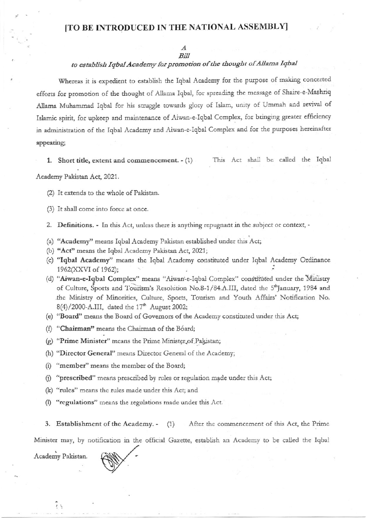## [TO BE INTRODUCED IN THE NATIONAL ASSEMBLY]

## $\boldsymbol{A}$ Bill

## to establish Iqbal Academy for promotion of the thought of Allama Iqbal

Whereas it is expedient to establish the Iqbal Academy for the purpose of making concerted efforts for promotion of the thought of Allama Iqbal, for spreading the message of Shaire-e-Mashriq Allama Muhammad Iqbal for his struggle towards glory of Islam, unity of Ummah and revival of Islamic spirit, for upkeep and maintenance of Aiwan-e-Iqbal Complex, for bringing greater efficiency in administration of the Iqbal Academy and Aiwan-e-Iqbal Complex and for the purposes hereinafter appearing;

1. Short title, extent and commencement.  $-(1)$ 

This Act shall be called the Iqbal

Academy Pakistan Act, 2021.

(2) It extends to the whole of Pakistan.

(3) It shall come into force at once.

2. Definitions. - In this Act, unless there is anything repugnant in the subject or context, -

- (a) "Academy" means Iqbal Academy Pakistan established under this Act;
- (b) "Act" means the Iqbal Academy Pakistan Act, 2021;
- (c) "Iqbal Academy" means the Iqbal Academy constituted under Iqbal Academy Ordinance 1962(XXVI of 1962);
- (d) "Aiwan-e-Iqbal Complex" means "Aiwan-e-Iqbal Complex" constituted under the Ministry of Culture, Sports and Tourism's Resolution No.8-1/84.A.III, dated the 5<sup>th</sup>January, 1984 and the Ministry of Minorities, Culture, Sports, Tourism and Youth Affairs' Notification No. 8(4)/2000-A.III, dated the 17<sup>th</sup> August 2002;
- (e) "Board" means the Board of Governors of the Academy constituted under this Act;
- (f) "Chairman" means the Chairman of the Bóard;
- (g) "Prime Minister" means the Prime Minister of Pakistan;
- (h) "Director General" means Director General of the Academy;
- (i) "member" means the member of the Board;
- (j) "prescribed" means prescribed by rules or regulation made under this Act;
- (k) "rules" means the rules made under this Act; and
- (I) "regulations" means the regulations made under this Act.
- 3. Establishment of the Academy. - $(1)$ After the commencement of this Act, the Prime

Minister may, by notification in the official Gazette, establish an Academy to be called the Iqbal

Academy Pakistan.

 $\frac{1}{2}$ 

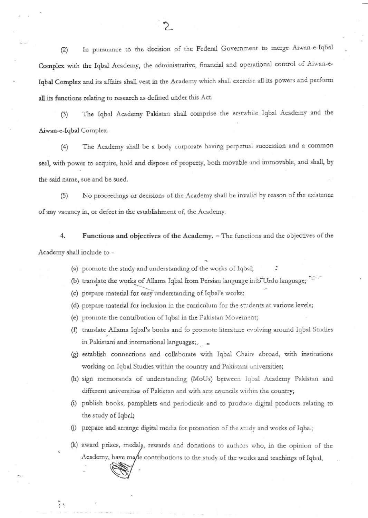In pursuance to the decision of the Federal Government to merge Aiwan-e-Iqbal  $(2)$ Complex with the Iqbal Academy, the administrative, financial and operational control of Aiwan-e-Iqbal Complex and its affairs shall vest in the Academy which shall exercise all its powers and perform all its functions relating to research as defined under this Act.

The Iqbal Academy Pakistan shall comprise the erstwhile Iqbal Academy and the  $(3)$ Aiwan-e-Iqbal Complex.

The Academy shall be a body corporate having perpetual succession and a common  $(4)$ seal, with power to acquire, hold and dispose of property, both movable and immovable, and shall, by the said name, sue and be sued.

 $(5)$ No proceedings or decisions of the Academy shall be invalid by reason of the existence of any vacancy in, or defect in the establishment of, the Academy.

4. Functions and objectives of the Academy. - The functions and the objectives of the Academy shall include to -

- (a) promote the study and understanding of the works of Iqbal;
- (b) translate the works of Allama Iqbal from Persian language into Urdu language;
- (c) prepare material for easy understanding of Iqbal's works;

とし

- (d) prepare material for inclusion in the curriculum for the students at various levels;
- (e) promote the contribution of Iqbal in the Pakistan Movement;
- (f) translate Allama Iqbal's books and to promote literature evolving around Iqbal Studies in Pakistani and international languages; y
- (g) establish connections and collaborate with Iqbal Chairs abroad, with institutions working on Iqbal Studies within the country and Pakistani universities;
- (h) sign memoranda of understanding (MoUs) between Iqbal Academy Pakistan and different universities of Pakistan and with arts councils within the country;
- (i) publish books, pamphlets and periodicals and to produce digital products relating to the study of Iqbal;
- (j) prepare and arrange digital media for promotion of the study and works of Iqbal;
- (k) award prizes, medals, rewards and donations to authors who, in the opinion of the Academy, have made contributions to the study of the works and teachings of Iqbal,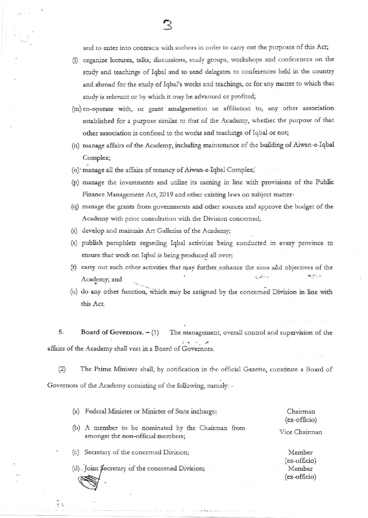and to enter into contracts with authors in order to carry out the purposes of this Act;

- (I) organize lectures, talks, discussions, study groups, workshops and conferences on the study and teachings of Iqbal and to send delegates to conferences held in the country and abroad for the study of Iqbal's works and teachings, or for any matter to which that study is relevant or by which it may be advanced or profited;
- (m) co-operate with, or grant amalgamation or affiliation to, any other association established for a purpose similar to that of the Academy, whether the purpose of that other association is confined to the works and teachings of Iqbal or not;
- (n) manage affairs of the Academy, including maintenance of the building of Aiwan-e-Iqbal Complex;
- (o) manage all the affairs of tenancy of Aiwan-e-Iqbal Complex;
- (p) manage the investments and utilize its earning in line with provisions of the Public Finance Management Act, 2019 and other existing laws on subject matter-
- (q) manage the grants from governments and other sources and approve the budget of the Academy with prior consultation with the Division concerned;
- (r) develop and maintain Art Galleries of the Academy;
- (s) publish pamphlets regarding Iqbal activities being conducted in every province to ensure that work on Iqbal is being produced all over;
- (t) carry out such other activities that may further enhance the aims and objectives of the الاستعار بدينهم يحلا Academy; and
- (u) do any other function, which may be assigned by the concerned Division in line with this Act.

5. Board of Governors.  $- (1)$ The management, overall control and supervision of the affairs of the Academy shall vest in a Board of Governors.

 $(2)$ The Prime Minister shall, by notification in the official Gazette, constitute a Board of Governors of the Academy consisting of the following, namely: -

(a) Federal Minister or Minister of State incharge; Chairman (ex-officio)

Vice Chairman

(c) Secretary of the concerned Division;

 $\ddot{r}$ 

amongst the non-official members;

(d). Joint Secretary of the concerned Division;

(b) A member to be nominated by the Chairman from

Member (ex-officio) Member (ex-officio)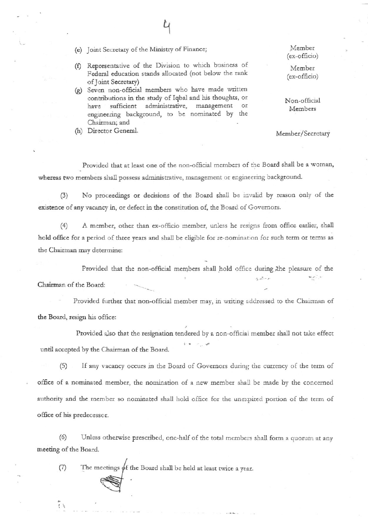(e) Joint Secretary of the Ministry of Finance;

- (f) Representative of the Division to which business of Federal education stands allocated (not below the rank of Joint Secretary)
- (g) Seven non-official members who have made written contributions in the study of Iqbal and his thoughts, or sufficient administrative, management or have engineering background, to be nominated by the Chairman; and
- (h) Director General.

Member (ex-officio)

Member (ex-officio)

Non-official Members

Member/Secretary

Provided that at least one of the non-official members of the Board shall be a woman, whereas two members shall possess administrative, management or engineering background.

No proceedings or decisions of the Board shall be invalid by reason only of the  $(3)$ existence of any vacancy in, or defect in the constitution of, the Board of Governors.

A member, other than ex-officio member, unless he resigns from office earlier, shall  $(4)$ hold office for a period of three years and shall be eligible for re-nomination for such term or terms as the Chairman may determine:

Provided that the non-official members shall hold office during the pleasure of the المراتيم Chairman of the Board:

Provided further that non-official member may, in writing addressed to the Chairman of the Board, resign his office:

Provided also that the resignation tendered by a non-official member shall not take effect until accepted by the Chairman of the Board.

If any vacancy occurs in the Board of Governors during the currency of the term of  $(5)$ office of a nominated member, the nomination of a new member shall be made by the concerned authority and the member so nominated shall hold office for the unexpired portion of the term of office of his predecessor.

Unless otherwise prescribed, one-half of the total members shall form a quorum at any  $(6)$ meeting of the Board.

The meetings  $\phi$ f the Board shall be held at least twice a year.  $(7)$ 

 $\mathbf{r}$